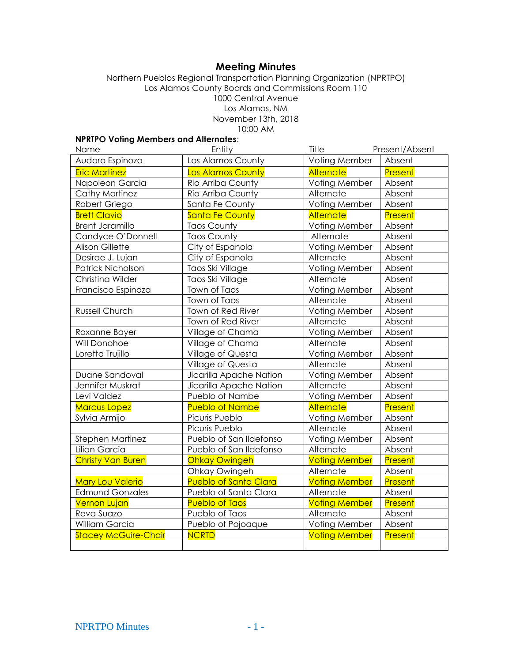# **Meeting Minutes**

Northern Pueblos Regional Transportation Planning Organization (NPRTPO) Los Alamos County Boards and Commissions Room 110 1000 Central Avenue Los Alamos, NM November 13th, 2018 10:00 AM

# **NPRTPO Voting Members and Alternates**:

| Name                        | Entity                       | Title                | Present/Absent |
|-----------------------------|------------------------------|----------------------|----------------|
| Audoro Espinoza             | Los Alamos County            | Voting Member        | Absent         |
| <b>Eric Martinez</b>        | <b>Los Alamos County</b>     | <b>Alternate</b>     | Present        |
| Napoleon Garcia             | Rio Arriba County            | Voting Member        | Absent         |
| <b>Cathy Martinez</b>       | Rio Arriba County            | Alternate            | Absent         |
| Robert Griego               | Santa Fe County              | Voting Member        | Absent         |
| <b>Brett Clavio</b>         | <b>Santa Fe County</b>       | <b>Alternate</b>     | Present        |
| <b>Brent Jaramillo</b>      | <b>Taos County</b>           | Voting Member        | Absent         |
| Candyce O'Donnell           | <b>Taos County</b>           | Alternate            | Absent         |
| <b>Alison Gillette</b>      | City of Espanola             | Voting Member        | Absent         |
| Desirae J. Lujan            | City of Espanola             | Alternate            | Absent         |
| Patrick Nicholson           | Taos Ski Village             | Voting Member        | Absent         |
| Christina Wilder            | Taos Ski Village             | Alternate            | Absent         |
| Francisco Espinoza          | Town of Taos                 | Voting Member        | Absent         |
|                             | Town of Taos                 | Alternate            | Absent         |
| Russell Church              | Town of Red River            | Voting Member        | Absent         |
|                             | Town of Red River            | Alternate            | Absent         |
| Roxanne Bayer               | Village of Chama             | Voting Member        | Absent         |
| Will Donohoe                | Village of Chama             | Alternate            | Absent         |
| Loretta Trujillo            | Village of Questa            | Voting Member        | Absent         |
|                             | Village of Questa            | Alternate            | Absent         |
| Duane Sandoval              | Jicarilla Apache Nation      | Voting Member        | Absent         |
| Jennifer Muskrat            | Jicarilla Apache Nation      | Alternate            | Absent         |
| Levi Valdez                 | Pueblo of Nambe              | Voting Member        | Absent         |
| <b>Marcus Lopez</b>         | <b>Pueblo of Nambe</b>       | <b>Alternate</b>     | Present        |
| Sylvia Armijo               | Picuris Pueblo               | Voting Member        | Absent         |
|                             | Picuris Pueblo               | Alternate            | Absent         |
| Stephen Martinez            | Pueblo of San Ildefonso      | Voting Member        | Absent         |
| Lilian Garcia               | Pueblo of San Ildefonso      | Alternate            | Absent         |
| <b>Christy Van Buren</b>    | <b>Ohkay Owingeh</b>         | <b>Voting Member</b> | Present        |
|                             | Ohkay Owingeh                | Alternate            | Absent         |
| <b>Mary Lou Valerio</b>     | <b>Pueblo of Santa Clara</b> | <b>Voting Member</b> | Present        |
| <b>Edmund Gonzales</b>      | Pueblo of Santa Clara        | Alternate            | Absent         |
| <b>Vernon Lujan</b>         | <b>Pueblo of Taos</b>        | <b>Voting Member</b> | Present        |
| Reva Suazo                  | Pueblo of Taos               | Alternate            | Absent         |
| William Garcia              | Pueblo of Pojoaque           | Voting Member        | Absent         |
| <b>Stacey McGuire-Chair</b> | <b>NCRTD</b>                 | <b>Voting Member</b> | <b>Present</b> |
|                             |                              |                      |                |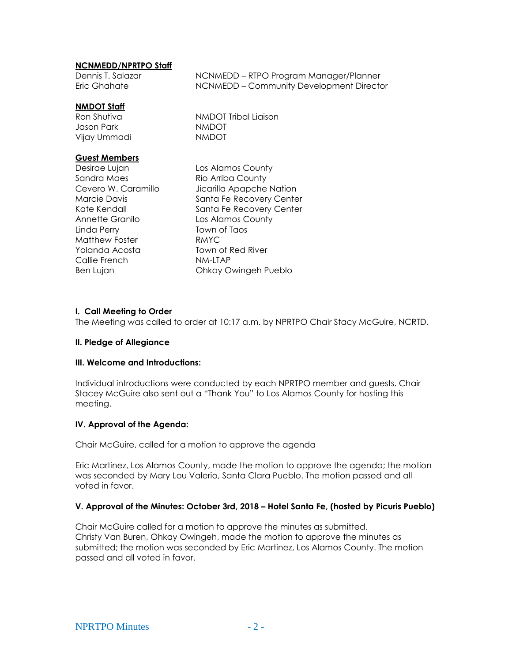## **NCNMEDD/NPRTPO Staff**

Dennis T. Salazar NCNMEDD – RTPO Program Manager/Planner Eric Ghahate NCNMEDD – Community Development Director

## **NMDOT Staff**

Jason Park NMDOT Vijay Ummadi NMDOT

Ron Shutiva NMDOT Tribal Liaison

## **Guest Members**

Sandra Maes Rio Arriba County Annette Granilo **Los Alamos County** Linda Perry Town of Taos Matthew Foster **RMYC** Yolanda Acosta Town of Red River Callie French NM-LTAP Ben Lujan **Chkay Owingeh Pueblo** 

Desirae Lujan Los Alamos County Cevero W. Caramillo *Jicarilla Apapche Nation* Marcie Davis **Santa Fe Recovery Center** Kate Kendall Santa Fe Recovery Center

## **I. Call Meeting to Order**

The Meeting was called to order at 10:17 a.m. by NPRTPO Chair Stacy McGuire, NCRTD.

#### **II. Pledge of Allegiance**

#### **III. Welcome and Introductions:**

Individual introductions were conducted by each NPRTPO member and guests. Chair Stacey McGuire also sent out a "Thank You" to Los Alamos County for hosting this meeting.

## **IV. Approval of the Agenda:**

Chair McGuire, called for a motion to approve the agenda

Eric Martinez, Los Alamos County, made the motion to approve the agenda; the motion was seconded by Mary Lou Valerio, Santa Clara Pueblo. The motion passed and all voted in favor.

## **V. Approval of the Minutes: October 3rd, 2018 – Hotel Santa Fe, (hosted by Picuris Pueblo)**

Chair McGuire called for a motion to approve the minutes as submitted. Christy Van Buren, Ohkay Owingeh, made the motion to approve the minutes as submitted; the motion was seconded by Eric Martinez, Los Alamos County. The motion passed and all voted in favor.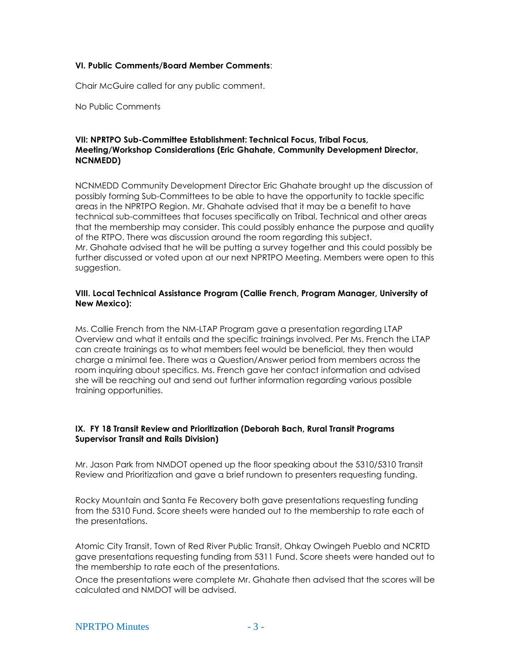#### **VI. Public Comments/Board Member Comments**:

Chair McGuire called for any public comment.

No Public Comments

## **VII: NPRTPO Sub-Committee Establishment: Technical Focus, Tribal Focus, Meeting/Workshop Considerations (Eric Ghahate, Community Development Director, NCNMEDD)**

NCNMEDD Community Development Director Eric Ghahate brought up the discussion of possibly forming Sub-Committees to be able to have the opportunity to tackle specific areas in the NPRTPO Region. Mr. Ghahate advised that it may be a benefit to have technical sub-committees that focuses specifically on Tribal, Technical and other areas that the membership may consider. This could possibly enhance the purpose and quality of the RTPO. There was discussion around the room regarding this subject. Mr. Ghahate advised that he will be putting a survey together and this could possibly be further discussed or voted upon at our next NPRTPO Meeting. Members were open to this suggestion.

#### **VIII. Local Technical Assistance Program (Callie French, Program Manager, University of New Mexico):**

Ms. Callie French from the NM-LTAP Program gave a presentation regarding LTAP Overview and what it entails and the specific trainings involved. Per Ms. French the LTAP can create trainings as to what members feel would be beneficial, they then would charge a minimal fee. There was a Question/Answer period from members across the room inquiring about specifics. Ms. French gave her contact information and advised she will be reaching out and send out further information regarding various possible training opportunities.

## **IX. FY 18 Transit Review and Prioritization (Deborah Bach, Rural Transit Programs Supervisor Transit and Rails Division)**

Mr. Jason Park from NMDOT opened up the floor speaking about the 5310/5310 Transit Review and Prioritization and gave a brief rundown to presenters requesting funding.

Rocky Mountain and Santa Fe Recovery both gave presentations requesting funding from the 5310 Fund. Score sheets were handed out to the membership to rate each of the presentations.

Atomic City Transit, Town of Red River Public Transit, Ohkay Owingeh Pueblo and NCRTD gave presentations requesting funding from 5311 Fund. Score sheets were handed out to the membership to rate each of the presentations.

Once the presentations were complete Mr. Ghahate then advised that the scores will be calculated and NMDOT will be advised.